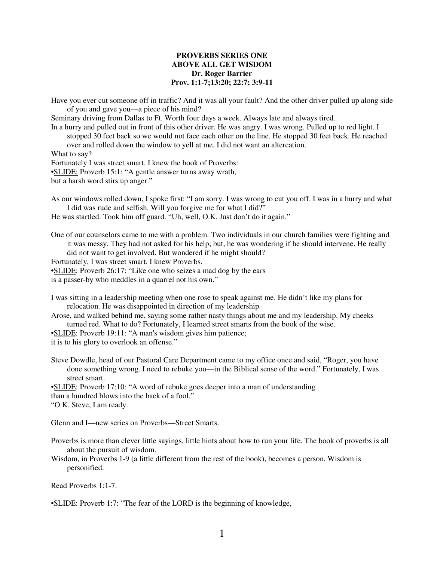#### **PROVERBS SERIES ONE ABOVE ALL GET WISDOM Dr. Roger Barrier Prov. 1:1-7;13:20; 22:7; 3:9-11**

Have you ever cut someone off in traffic? And it was all your fault? And the other driver pulled up along side of you and gave you—a piece of his mind?

Seminary driving from Dallas to Ft. Worth four days a week. Always late and always tired.

In a hurry and pulled out in front of this other driver. He was angry. I was wrong. Pulled up to red light. I stopped 30 feet back so we would not face each other on the line. He stopped 30 feet back. He reached

over and rolled down the window to yell at me. I did not want an altercation.

What to say? Fortunately I was street smart. I knew the book of Proverbs: •SLIDE: Proverb 15:1: "A gentle answer turns away wrath, but a harsh word stirs up anger."

As our windows rolled down, I spoke first: "I am sorry. I was wrong to cut you off. I was in a hurry and what I did was rude and selfish. Will you forgive me for what I did?"

He was startled. Took him off guard. "Uh, well, O.K. Just don't do it again."

One of our counselors came to me with a problem. Two individuals in our church families were fighting and it was messy. They had not asked for his help; but, he was wondering if he should intervene. He really did not want to get involved. But wondered if he might should?

Fortunately, I was street smart. I knew Proverbs.

•SLIDE: Proverb 26:17: "Like one who seizes a mad dog by the ears

is a passer-by who meddles in a quarrel not his own."

I was sitting in a leadership meeting when one rose to speak against me. He didn't like my plans for relocation. He was disappointed in direction of my leadership.

Arose, and walked behind me, saying some rather nasty things about me and my leadership. My cheeks turned red. What to do? Fortunately, I learned street smarts from the book of the wise.

•SLIDE: Proverb 19:11: "A man's wisdom gives him patience;

it is to his glory to overlook an offense."

Steve Dowdle, head of our Pastoral Care Department came to my office once and said, "Roger, you have done something wrong. I need to rebuke you—in the Biblical sense of the word." Fortunately, I was street smart.

•SLIDE: Proverb 17:10: "A word of rebuke goes deeper into a man of understanding than a hundred blows into the back of a fool." "O.K. Steve, I am ready.

Glenn and I—new series on Proverbs—Street Smarts.

Proverbs is more than clever little sayings, little hints about how to run your life. The book of proverbs is all about the pursuit of wisdom.

Wisdom, in Proverbs 1-9 (a little different from the rest of the book), becomes a person. Wisdom is personified.

Read Proverbs 1:1-7.

•SLIDE: Proverb 1:7: "The fear of the LORD is the beginning of knowledge,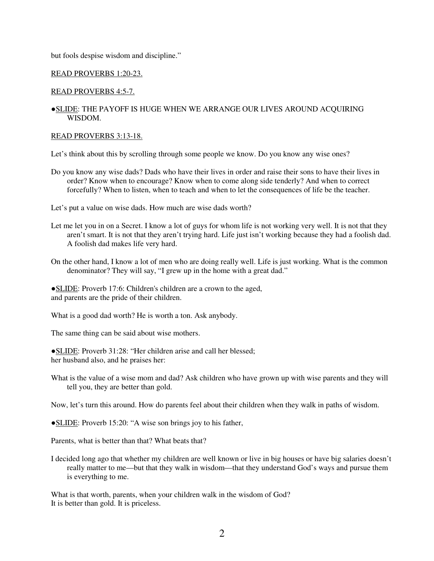but fools despise wisdom and discipline."

## READ PROVERBS 1:20-23.

## READ PROVERBS 4:5-7.

# ●SLIDE: THE PAYOFF IS HUGE WHEN WE ARRANGE OUR LIVES AROUND ACQUIRING WISDOM.

#### READ PROVERBS 3:13-18.

Let's think about this by scrolling through some people we know. Do you know any wise ones?

Do you know any wise dads? Dads who have their lives in order and raise their sons to have their lives in order? Know when to encourage? Know when to come along side tenderly? And when to correct forcefully? When to listen, when to teach and when to let the consequences of life be the teacher.

Let's put a value on wise dads. How much are wise dads worth?

- Let me let you in on a Secret. I know a lot of guys for whom life is not working very well. It is not that they aren't smart. It is not that they aren't trying hard. Life just isn't working because they had a foolish dad. A foolish dad makes life very hard.
- On the other hand, I know a lot of men who are doing really well. Life is just working. What is the common denominator? They will say, "I grew up in the home with a great dad."

●SLIDE: Proverb 17:6: Children's children are a crown to the aged, and parents are the pride of their children.

What is a good dad worth? He is worth a ton. Ask anybody.

The same thing can be said about wise mothers.

●SLIDE: Proverb 31:28: "Her children arise and call her blessed; her husband also, and he praises her:

What is the value of a wise mom and dad? Ask children who have grown up with wise parents and they will tell you, they are better than gold.

Now, let's turn this around. How do parents feel about their children when they walk in paths of wisdom.

●SLIDE: Proverb 15:20: "A wise son brings joy to his father,

Parents, what is better than that? What beats that?

I decided long ago that whether my children are well known or live in big houses or have big salaries doesn't really matter to me—but that they walk in wisdom—that they understand God's ways and pursue them is everything to me.

What is that worth, parents, when your children walk in the wisdom of God? It is better than gold. It is priceless.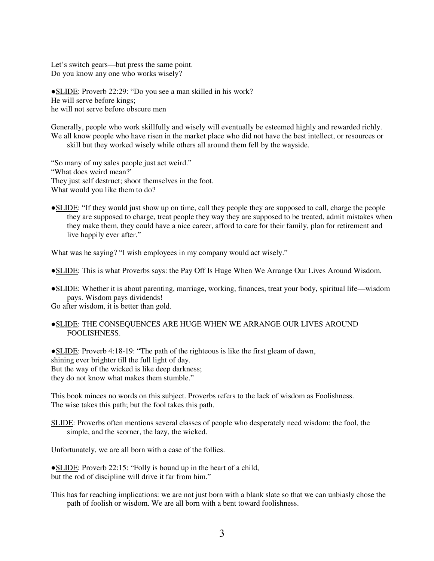Let's switch gears—but press the same point. Do you know any one who works wisely?

●SLIDE: Proverb 22:29: "Do you see a man skilled in his work? He will serve before kings; he will not serve before obscure men

Generally, people who work skillfully and wisely will eventually be esteemed highly and rewarded richly. We all know people who have risen in the market place who did not have the best intellect, or resources or skill but they worked wisely while others all around them fell by the wayside.

"So many of my sales people just act weird." "What does weird mean?' They just self destruct; shoot themselves in the foot. What would you like them to do?

●SLIDE: "If they would just show up on time, call they people they are supposed to call, charge the people they are supposed to charge, treat people they way they are supposed to be treated, admit mistakes when they make them, they could have a nice career, afford to care for their family, plan for retirement and live happily ever after."

What was he saying? "I wish employees in my company would act wisely."

●SLIDE: This is what Proverbs says: the Pay Off Is Huge When We Arrange Our Lives Around Wisdom.

●SLIDE: Whether it is about parenting, marriage, working, finances, treat your body, spiritual life—wisdom pays. Wisdom pays dividends!

Go after wisdom, it is better than gold.

●SLIDE: THE CONSEQUENCES ARE HUGE WHEN WE ARRANGE OUR LIVES AROUND FOOLISHNESS.

●SLIDE: Proverb 4:18-19: "The path of the righteous is like the first gleam of dawn, shining ever brighter till the full light of day. But the way of the wicked is like deep darkness; they do not know what makes them stumble."

This book minces no words on this subject. Proverbs refers to the lack of wisdom as Foolishness. The wise takes this path; but the fool takes this path.

SLIDE: Proverbs often mentions several classes of people who desperately need wisdom: the fool, the simple, and the scorner, the lazy, the wicked.

Unfortunately, we are all born with a case of the follies.

●SLIDE: Proverb 22:15: "Folly is bound up in the heart of a child, but the rod of discipline will drive it far from him."

This has far reaching implications: we are not just born with a blank slate so that we can unbiasly chose the path of foolish or wisdom. We are all born with a bent toward foolishness.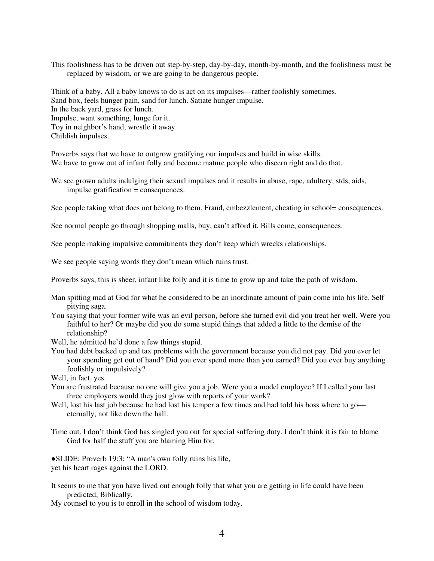This foolishness has to be driven out step-by-step, day-by-day, month-by-month, and the foolishness must be replaced by wisdom, or we are going to be dangerous people.

Think of a baby. All a baby knows to do is act on its impulses—rather foolishly sometimes. Sand box, feels hunger pain, sand for lunch. Satiate hunger impulse. In the back yard, grass for lunch. Impulse, want something, lunge for it. Toy in neighbor's hand, wrestle it away. Childish impulses.

Proverbs says that we have to outgrow gratifying our impulses and build in wise skills. We have to grow out of infant folly and become mature people who discern right and do that.

We see grown adults indulging their sexual impulses and it results in abuse, rape, adultery, stds, aids, impulse gratification = consequences.

See people taking what does not belong to them. Fraud, embezzlement, cheating in school= consequences.

See normal people go through shopping malls, buy, can't afford it. Bills come, consequences.

See people making impulsive commitments they don't keep which wrecks relationships.

We see people saying words they don't mean which ruins trust.

Proverbs says, this is sheer, infant like folly and it is time to grow up and take the path of wisdom.

- Man spitting mad at God for what he considered to be an inordinate amount of pain come into his life. Self pitying saga.
- You saying that your former wife was an evil person, before she turned evil did you treat her well. Were you faithful to her? Or maybe did you do some stupid things that added a little to the demise of the relationship?
- Well, he admitted he'd done a few things stupid.
- You had debt backed up and tax problems with the government because you did not pay. Did you ever let your spending get out of hand? Did you ever spend more than you earned? Did you ever buy anything foolishly or impulsively?

Well, in fact, yes.

- You are frustrated because no one will give you a job. Were you a model employee? If I called your last three employers would they just glow with reports of your work?
- Well, lost his last job because he had lost his temper a few times and had told his boss where to go eternally, not like down the hall.
- Time out. I don't think God has singled you out for special suffering duty. I don't think it is fair to blame God for half the stuff you are blaming Him for.

●SLIDE: Proverb 19:3: "A man's own folly ruins his life, yet his heart rages against the LORD.

It seems to me that you have lived out enough folly that what you are getting in life could have been predicted, Biblically.

My counsel to you is to enroll in the school of wisdom today.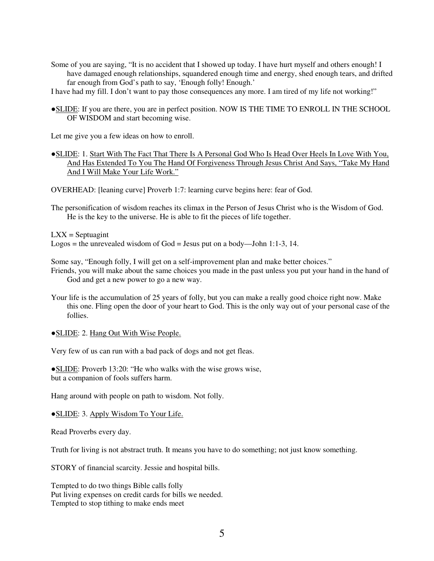Some of you are saying, "It is no accident that I showed up today. I have hurt myself and others enough! I have damaged enough relationships, squandered enough time and energy, shed enough tears, and drifted far enough from God's path to say, 'Enough folly! Enough.'

I have had my fill. I don't want to pay those consequences any more. I am tired of my life not working!"

●SLIDE: If you are there, you are in perfect position. NOW IS THE TIME TO ENROLL IN THE SCHOOL OF WISDOM and start becoming wise.

Let me give you a few ideas on how to enroll.

●SLIDE: 1. Start With The Fact That There Is A Personal God Who Is Head Over Heels In Love With You, And Has Extended To You The Hand Of Forgiveness Through Jesus Christ And Says, "Take My Hand And I Will Make Your Life Work."

OVERHEAD: [leaning curve] Proverb 1:7: learning curve begins here: fear of God.

The personification of wisdom reaches its climax in the Person of Jesus Christ who is the Wisdom of God. He is the key to the universe. He is able to fit the pieces of life together.

 $LXX =$  Septuagint

Logos = the unrevealed wisdom of God = Jesus put on a body—John 1:1-3, 14.

Some say, "Enough folly, I will get on a self-improvement plan and make better choices."

- Friends, you will make about the same choices you made in the past unless you put your hand in the hand of God and get a new power to go a new way.
- Your life is the accumulation of 25 years of folly, but you can make a really good choice right now. Make this one. Fling open the door of your heart to God. This is the only way out of your personal case of the follies.

● SLIDE: 2. Hang Out With Wise People.

Very few of us can run with a bad pack of dogs and not get fleas.

●SLIDE: Proverb 13:20: "He who walks with the wise grows wise, but a companion of fools suffers harm.

Hang around with people on path to wisdom. Not folly.

●SLIDE: 3. Apply Wisdom To Your Life.

Read Proverbs every day.

Truth for living is not abstract truth. It means you have to do something; not just know something.

STORY of financial scarcity. Jessie and hospital bills.

Tempted to do two things Bible calls folly Put living expenses on credit cards for bills we needed. Tempted to stop tithing to make ends meet